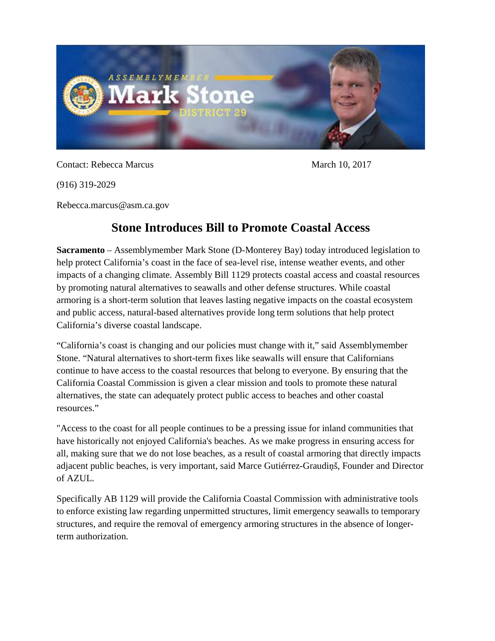

Contact: Rebecca Marcus March 10, 2017

(916) 319-2029

Rebecca.marcus@asm.ca.gov

## **Stone Introduces Bill to Promote Coastal Access**

**Sacramento** – Assemblymember Mark Stone (D-Monterey Bay) today introduced legislation to help protect California's coast in the face of sea-level rise, intense weather events, and other impacts of a changing climate. Assembly Bill 1129 protects coastal access and coastal resources by promoting natural alternatives to seawalls and other defense structures. While coastal armoring is a short-term solution that leaves lasting negative impacts on the coastal ecosystem and public access, natural-based alternatives provide long term solutions that help protect California's diverse coastal landscape.

"California's coast is changing and our policies must change with it," said Assemblymember Stone. "Natural alternatives to short-term fixes like seawalls will ensure that Californians continue to have access to the coastal resources that belong to everyone. By ensuring that the California Coastal Commission is given a clear mission and tools to promote these natural alternatives, the state can adequately protect public access to beaches and other coastal resources."

"Access to the coast for all people continues to be a pressing issue for inland communities that have historically not enjoyed California's beaches. As we make progress in ensuring access for all, making sure that we do not lose beaches, as a result of coastal armoring that directly impacts adjacent public beaches, is very important, said Marce Gutiérrez-Graudiņš, Founder and Director of AZUL.

Specifically AB 1129 will provide the California Coastal Commission with administrative tools to enforce existing law regarding unpermitted structures, limit emergency seawalls to temporary structures, and require the removal of emergency armoring structures in the absence of longerterm authorization.